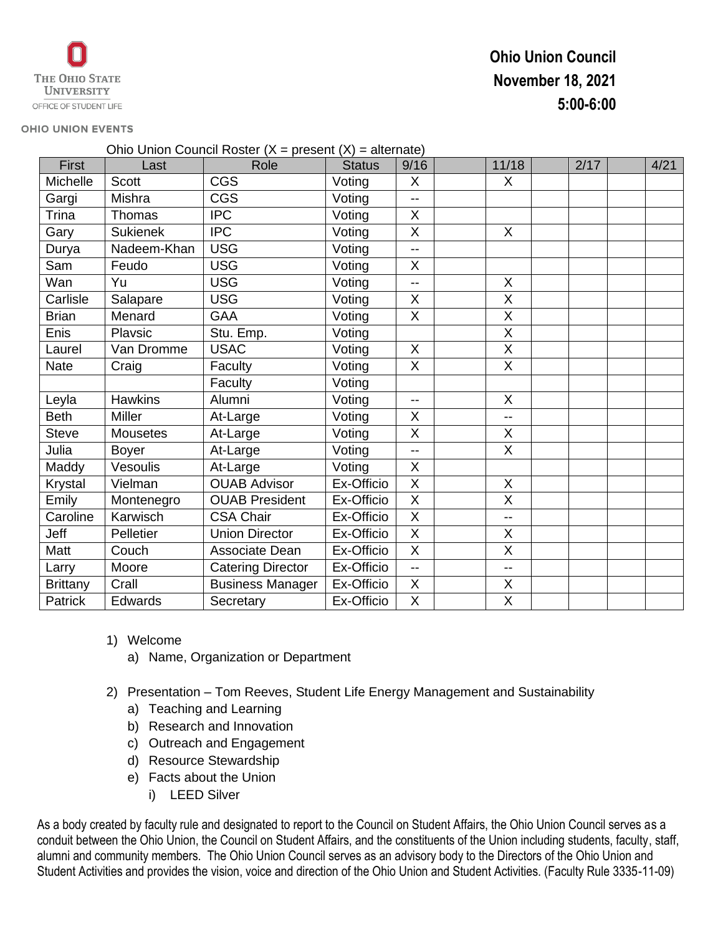# **Ohio Union Council November 18, 2021 5:00-6:00**

#### **OHIO UNION EVENTS**

| Ohio Union Council Roster ( $X =$ present ( $X$ ) = alternate) |                 |                          |               |                          |  |                          |  |      |  |      |
|----------------------------------------------------------------|-----------------|--------------------------|---------------|--------------------------|--|--------------------------|--|------|--|------|
| First                                                          | Last            | Role                     | <b>Status</b> | 9/16                     |  | 11/18                    |  | 2/17 |  | 4/21 |
| Michelle                                                       | <b>Scott</b>    | <b>CGS</b>               | Voting        | X                        |  | X                        |  |      |  |      |
| Gargi                                                          | Mishra          | <b>CGS</b>               | Voting        | $-$                      |  |                          |  |      |  |      |
| Trina                                                          | Thomas          | <b>IPC</b>               | Voting        | X                        |  |                          |  |      |  |      |
| Gary                                                           | <b>Sukienek</b> | <b>IPC</b>               | Voting        | X                        |  | X                        |  |      |  |      |
| Durya                                                          | Nadeem-Khan     | <b>USG</b>               | Voting        | $-1$                     |  |                          |  |      |  |      |
| Sam                                                            | Feudo           | <b>USG</b>               | Voting        | X                        |  |                          |  |      |  |      |
| Wan                                                            | Yu              | <b>USG</b>               | Voting        | $\overline{\phantom{a}}$ |  | X                        |  |      |  |      |
| Carlisle                                                       | Salapare        | <b>USG</b>               | Voting        | X                        |  | X                        |  |      |  |      |
| <b>Brian</b>                                                   | Menard          | <b>GAA</b>               | Voting        | X                        |  | X                        |  |      |  |      |
| Enis                                                           | Playsic         | Stu. Emp.                | Voting        |                          |  | X                        |  |      |  |      |
| Laurel                                                         | Van Dromme      | <b>USAC</b>              | Voting        | $\times$                 |  | X                        |  |      |  |      |
| <b>Nate</b>                                                    | Craig           | Faculty                  | Voting        | X                        |  | X                        |  |      |  |      |
|                                                                |                 | Faculty                  | Voting        |                          |  |                          |  |      |  |      |
| Leyla                                                          | <b>Hawkins</b>  | Alumni                   | Voting        | $-$                      |  | X                        |  |      |  |      |
| <b>Beth</b>                                                    | <b>Miller</b>   | At-Large                 | Voting        | X                        |  | $-$                      |  |      |  |      |
| <b>Steve</b>                                                   | <b>Mousetes</b> | At-Large                 | Voting        | $\overline{X}$           |  | X                        |  |      |  |      |
| Julia                                                          | <b>Boyer</b>    | At-Large                 | Voting        | $-1$                     |  | $\overline{X}$           |  |      |  |      |
| Maddy                                                          | Vesoulis        | At-Large                 | Voting        | X                        |  |                          |  |      |  |      |
| Krystal                                                        | Vielman         | <b>OUAB Advisor</b>      | Ex-Officio    | X                        |  | X                        |  |      |  |      |
| Emily                                                          | Montenegro      | <b>OUAB President</b>    | Ex-Officio    | $\overline{X}$           |  | X                        |  |      |  |      |
| Caroline                                                       | Karwisch        | <b>CSA Chair</b>         | Ex-Officio    | $\times$                 |  | $-$                      |  |      |  |      |
| Jeff                                                           | Pelletier       | <b>Union Director</b>    | Ex-Officio    | X                        |  | X                        |  |      |  |      |
| Matt                                                           | Couch           | Associate Dean           | Ex-Officio    | X                        |  | X                        |  |      |  |      |
| Larry                                                          | Moore           | <b>Catering Director</b> | Ex-Officio    | $\overline{a}$           |  | $\overline{\phantom{a}}$ |  |      |  |      |
| <b>Brittany</b>                                                | Crall           | <b>Business Manager</b>  | Ex-Officio    | X                        |  | X                        |  |      |  |      |
| Patrick                                                        | Edwards         | Secretary                | Ex-Officio    | X                        |  | X                        |  |      |  |      |

- 1) Welcome
	- a) Name, Organization or Department
- 2) Presentation Tom Reeves, Student Life Energy Management and Sustainability
	- a) Teaching and Learning
	- b) Research and Innovation
	- c) Outreach and Engagement
	- d) Resource Stewardship
	- e) Facts about the Union
		- i) LEED Silver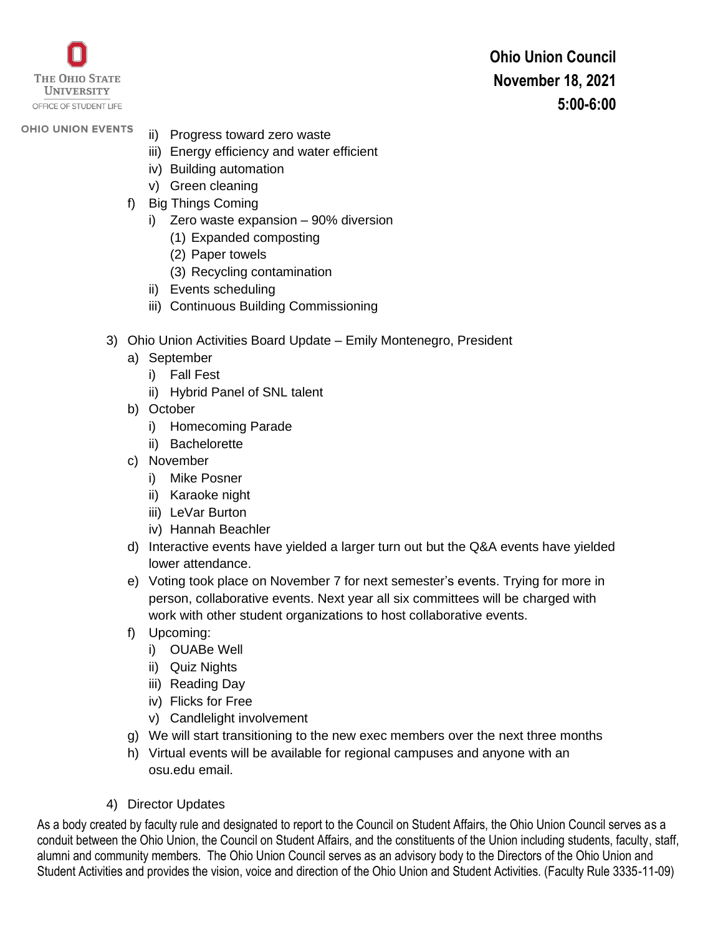

**Ohio Union Council November 18, 2021 5:00-6:00**

# **OHIO UNION EVENTS**

- ii) Progress toward zero waste
- iii) Energy efficiency and water efficient
- iv) Building automation
- v) Green cleaning
- f) Big Things Coming
	- i) Zero waste expansion 90% diversion
		- (1) Expanded composting
		- (2) Paper towels
		- (3) Recycling contamination
	- ii) Events scheduling
	- iii) Continuous Building Commissioning
- 3) Ohio Union Activities Board Update Emily Montenegro, President
	- a) September
		- i) Fall Fest
		- ii) Hybrid Panel of SNL talent
	- b) October
		- i) Homecoming Parade
		- ii) Bachelorette
	- c) November
		- i) Mike Posner
		- ii) Karaoke night
		- iii) LeVar Burton
		- iv) Hannah Beachler
	- d) Interactive events have yielded a larger turn out but the Q&A events have yielded lower attendance.
	- e) Voting took place on November 7 for next semester's events. Trying for more in person, collaborative events. Next year all six committees will be charged with work with other student organizations to host collaborative events.
	- f) Upcoming:
		- i) OUABe Well
		- ii) Quiz Nights
		- iii) Reading Day
		- iv) Flicks for Free
		- v) Candlelight involvement
	- g) We will start transitioning to the new exec members over the next three months
	- h) Virtual events will be available for regional campuses and anyone with an osu.edu email.
- 4) Director Updates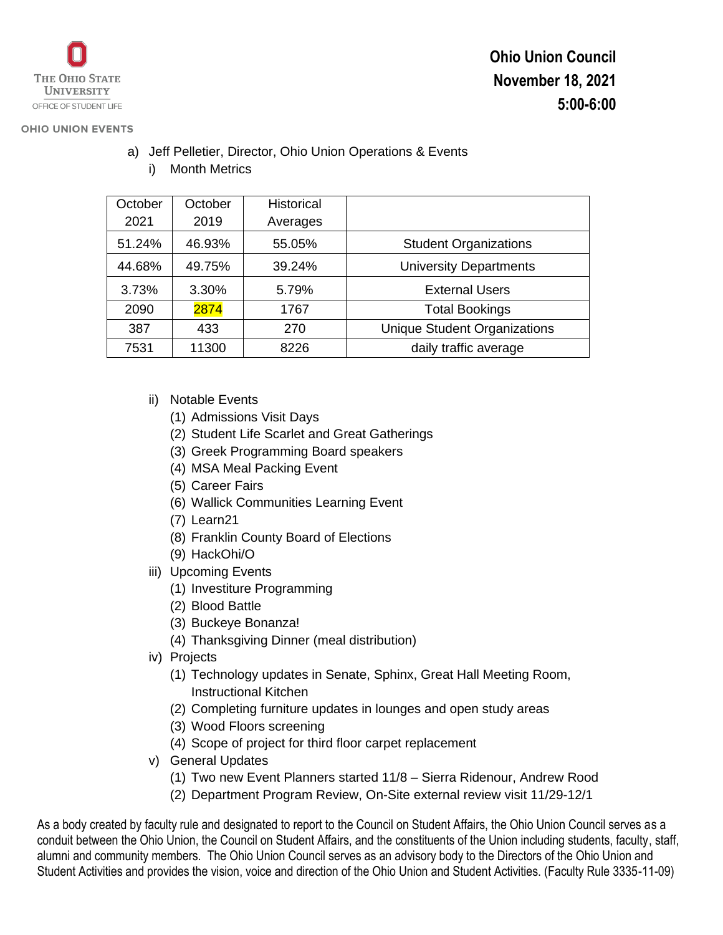

**Ohio Union Council**

**November 18, 2021**

**5:00-6:00**

## **OHIO UNION EVENTS**

| October | October | <b>Historical</b> |                                     |  |
|---------|---------|-------------------|-------------------------------------|--|
| 2021    | 2019    | Averages          |                                     |  |
| 51.24%  | 46.93%  | 55.05%            | <b>Student Organizations</b>        |  |
| 44.68%  | 49.75%  | 39.24%            | <b>University Departments</b>       |  |
| 3.73%   | 3.30%   | 5.79%             | <b>External Users</b>               |  |
| 2090    | 2874    | 1767              | <b>Total Bookings</b>               |  |
| 387     | 433     | 270               | <b>Unique Student Organizations</b> |  |
| 7531    | 11300   | 8226              | daily traffic average               |  |

a) Jeff Pelletier, Director, Ohio Union Operations & Events i) Month Metrics

- ii) Notable Events
	- (1) Admissions Visit Days
	- (2) Student Life Scarlet and Great Gatherings
	- (3) Greek Programming Board speakers
	- (4) MSA Meal Packing Event
	- (5) Career Fairs
	- (6) Wallick Communities Learning Event
	- (7) Learn21
	- (8) Franklin County Board of Elections
	- (9) HackOhi/O
- iii) Upcoming Events
	- (1) Investiture Programming
	- (2) Blood Battle
	- (3) Buckeye Bonanza!
	- (4) Thanksgiving Dinner (meal distribution)
- iv) Projects
	- (1) Technology updates in Senate, Sphinx, Great Hall Meeting Room, Instructional Kitchen
	- (2) Completing furniture updates in lounges and open study areas
	- (3) Wood Floors screening
	- (4) Scope of project for third floor carpet replacement
- v) General Updates
	- (1) Two new Event Planners started 11/8 Sierra Ridenour, Andrew Rood
	- (2) Department Program Review, On-Site external review visit 11/29-12/1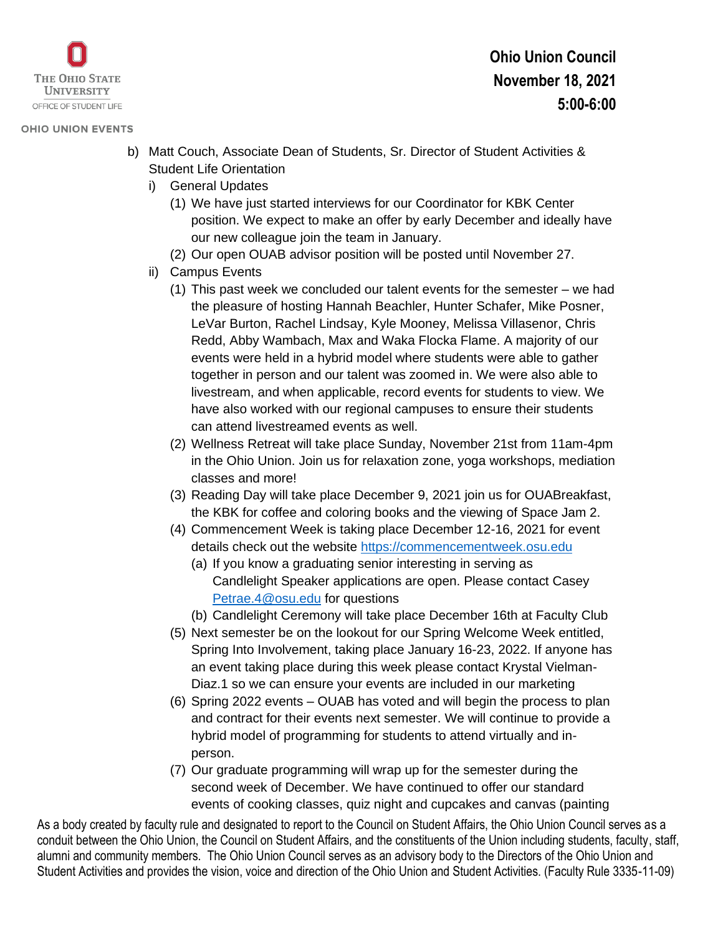

## **OHIO UNION EVENTS**

- b) Matt Couch, Associate Dean of Students, Sr. Director of Student Activities & Student Life Orientation
	- i) General Updates
		- (1) We have just started interviews for our Coordinator for KBK Center position. We expect to make an offer by early December and ideally have our new colleague join the team in January.
		- (2) Our open OUAB advisor position will be posted until November 27.
	- ii) Campus Events
		- (1) This past week we concluded our talent events for the semester we had the pleasure of hosting Hannah Beachler, Hunter Schafer, Mike Posner, LeVar Burton, Rachel Lindsay, Kyle Mooney, Melissa Villasenor, Chris Redd, Abby Wambach, Max and Waka Flocka Flame. A majority of our events were held in a hybrid model where students were able to gather together in person and our talent was zoomed in. We were also able to livestream, and when applicable, record events for students to view. We have also worked with our regional campuses to ensure their students can attend livestreamed events as well.
		- (2) Wellness Retreat will take place Sunday, November 21st from 11am-4pm in the Ohio Union. Join us for relaxation zone, yoga workshops, mediation classes and more!
		- (3) Reading Day will take place December 9, 2021 join us for OUABreakfast, the KBK for coffee and coloring books and the viewing of Space Jam 2.
		- (4) Commencement Week is taking place December 12-16, 2021 for event details check out the website [https://commencementweek.osu.edu](https://commencementweek.osu.edu/)
			- (a) If you know a graduating senior interesting in serving as Candlelight Speaker applications are open. Please contact Casey [Petrae.4@osu.edu](mailto:Petrae.4@osu.edu) for questions
			- (b) Candlelight Ceremony will take place December 16th at Faculty Club
		- (5) Next semester be on the lookout for our Spring Welcome Week entitled, Spring Into Involvement, taking place January 16-23, 2022. If anyone has an event taking place during this week please contact Krystal Vielman-Diaz.1 so we can ensure your events are included in our marketing
		- (6) Spring 2022 events OUAB has voted and will begin the process to plan and contract for their events next semester. We will continue to provide a hybrid model of programming for students to attend virtually and inperson.
		- (7) Our graduate programming will wrap up for the semester during the second week of December. We have continued to offer our standard events of cooking classes, quiz night and cupcakes and canvas (painting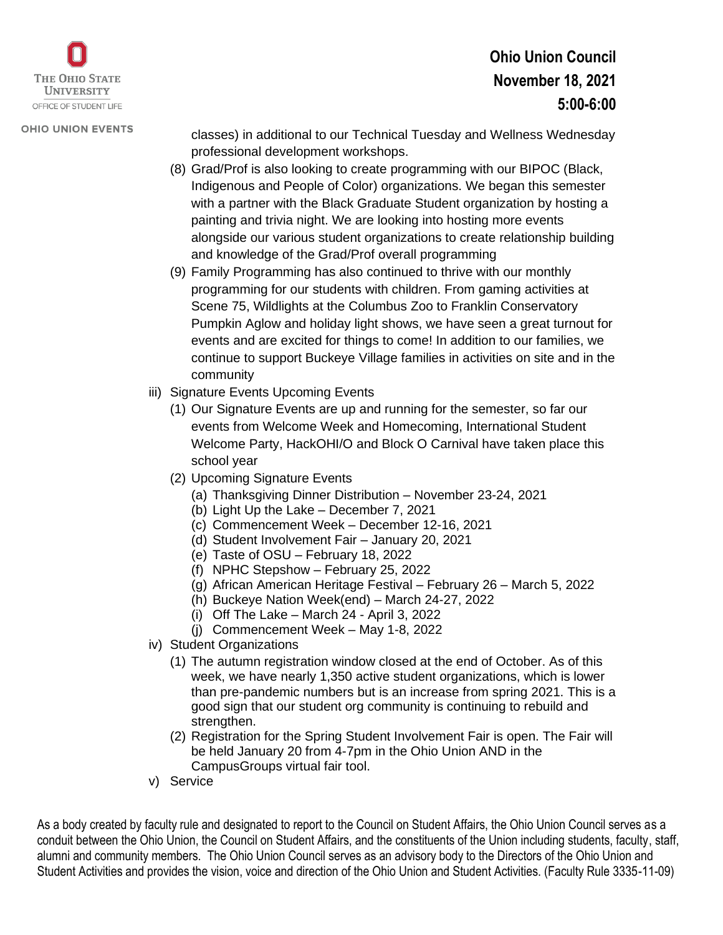

#### **OHIO UNION EVENTS**

classes) in additional to our Technical Tuesday and Wellness Wednesday professional development workshops.

- (8) Grad/Prof is also looking to create programming with our BIPOC (Black, Indigenous and People of Color) organizations. We began this semester with a partner with the Black Graduate Student organization by hosting a painting and trivia night. We are looking into hosting more events alongside our various student organizations to create relationship building and knowledge of the Grad/Prof overall programming
- (9) Family Programming has also continued to thrive with our monthly programming for our students with children. From gaming activities at Scene 75, Wildlights at the Columbus Zoo to Franklin Conservatory Pumpkin Aglow and holiday light shows, we have seen a great turnout for events and are excited for things to come! In addition to our families, we continue to support Buckeye Village families in activities on site and in the community
- iii) Signature Events Upcoming Events
	- (1) Our Signature Events are up and running for the semester, so far our events from Welcome Week and Homecoming, International Student Welcome Party, HackOHI/O and Block O Carnival have taken place this school year
	- (2) Upcoming Signature Events
		- (a) Thanksgiving Dinner Distribution November 23-24, 2021
		- (b) Light Up the Lake December 7, 2021
		- (c) Commencement Week December 12-16, 2021
		- (d) Student Involvement Fair January 20, 2021
		- (e) Taste of OSU February 18, 2022
		- (f) NPHC Stepshow February 25, 2022
		- (g) African American Heritage Festival February 26 March 5, 2022
		- (h) Buckeye Nation Week(end) March 24-27, 2022
		- (i) Off The Lake March 24 April 3, 2022
		- (j) Commencement Week May 1-8, 2022
- iv) Student Organizations
	- (1) The autumn registration window closed at the end of October. As of this week, we have nearly 1,350 active student organizations, which is lower than pre-pandemic numbers but is an increase from spring 2021. This is a good sign that our student org community is continuing to rebuild and strengthen.
	- (2) Registration for the Spring Student Involvement Fair is open. The Fair will be held January 20 from 4-7pm in the Ohio Union AND in the CampusGroups virtual fair tool.
- v) Service